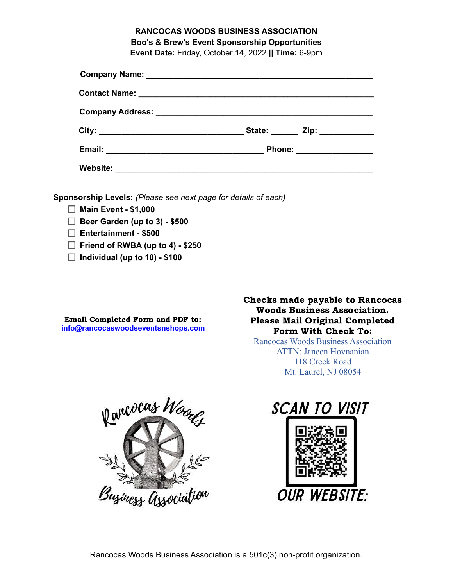# **RANCOCAS WOODS BUSINESS ASSOCIATION Boo's & Brew's Event Sponsorship Opportunities Event Date:** Friday, October 14, 2022 **|| Time:** 6-9pm

|                                    | State: _______ Zip: ____________ |
|------------------------------------|----------------------------------|
|                                    | Phone: __________________        |
| Website: _________________________ |                                  |

**Sponsorship Levels:** *(Please see next page for details of each)*

- **Main Event - \$1,000**
- **Beer Garden (up to 3) - \$500**
- **Entertainment - \$500**
- **Friend of RWBA (up to 4) - \$250**
- **Individual (up to 10) - \$100**

Email Completed Form and PDF to: **inf[o@rancocaswoodseventsnshops.com](mailto:events@rancocaswoodseventsnshops.com)** Checks made payable to Rancocas Woods Business Association. Please Mail Original Completed Form With Check To:

Rancocas Woods Business Association ATTN: Janeen Hovnanian 118 Creek Road Mt. Laurel, NJ 08054